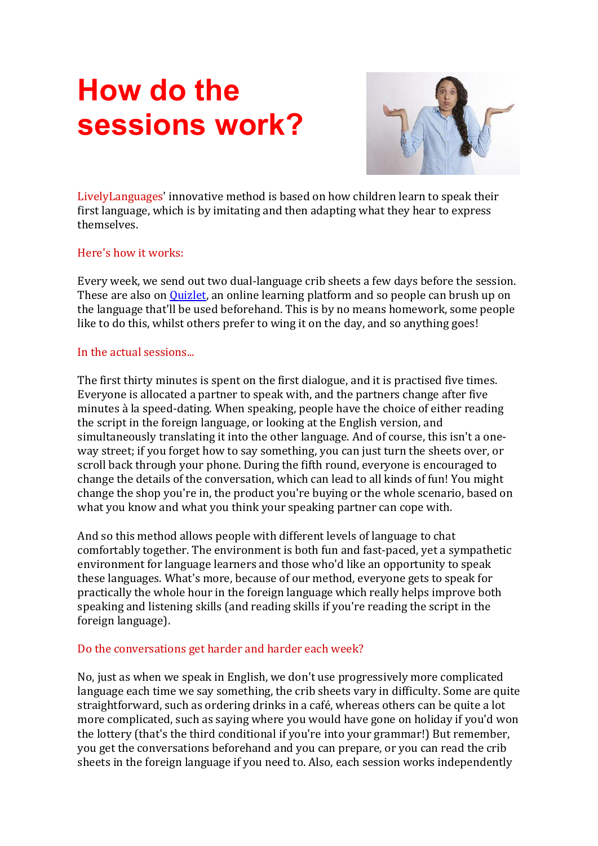# **How do the sessions work?**



LivelyLanguages' innovative method is based on how children learn to speak their first language, which is by imitating and then adapting what they hear to express themselves.

#### Here's how it works:

Every week, we send out two dual-language crib sheets a few days before the session. These are also on [Quizlet,](https://www.livelylanguages.co.uk/next-week) an online learning platform and so people can brush up on the language that'll be used beforehand. This is by no means homework, some people like to do this, whilst others prefer to wing it on the day, and so anything goes!

#### In the actual sessions...

The first thirty minutes is spent on the first dialogue, and it is practised five times. Everyone is allocated a partner to speak with, and the partners change after five minutes à la speed-dating. When speaking, people have the choice of either reading the script in the foreign language, or looking at the English version, and simultaneously translating it into the other language. And of course, this isn't a oneway street; if you forget how to say something, you can just turn the sheets over, or scroll back through your phone. During the fifth round, everyone is encouraged to change the details of the conversation, which can lead to all kinds of fun! You might change the shop you're in, the product you're buying or the whole scenario, based on what you know and what you think your speaking partner can cope with.

And so this method allows people with different levels of language to chat comfortably together. The environment is both fun and fast-paced, yet a sympathetic environment for language learners and those who'd like an opportunity to speak these languages. What's more, because of our method, everyone gets to speak for practically the whole hour in the foreign language which really helps improve both speaking and listening skills (and reading skills if you're reading the script in the foreign language).

## Do the conversations get harder and harder each week?

No, just as when we speak in English, we don't use progressively more complicated language each time we say something, the crib sheets vary in difficulty. Some are quite straightforward, such as ordering drinks in a café, whereas others can be quite a lot more complicated, such as saying where you would have gone on holiday if you'd won the lottery (that's the third conditional if you're into your grammar!) But remember, you get the conversations beforehand and you can prepare, or you can read the crib sheets in the foreign language if you need to. Also, each session works independently